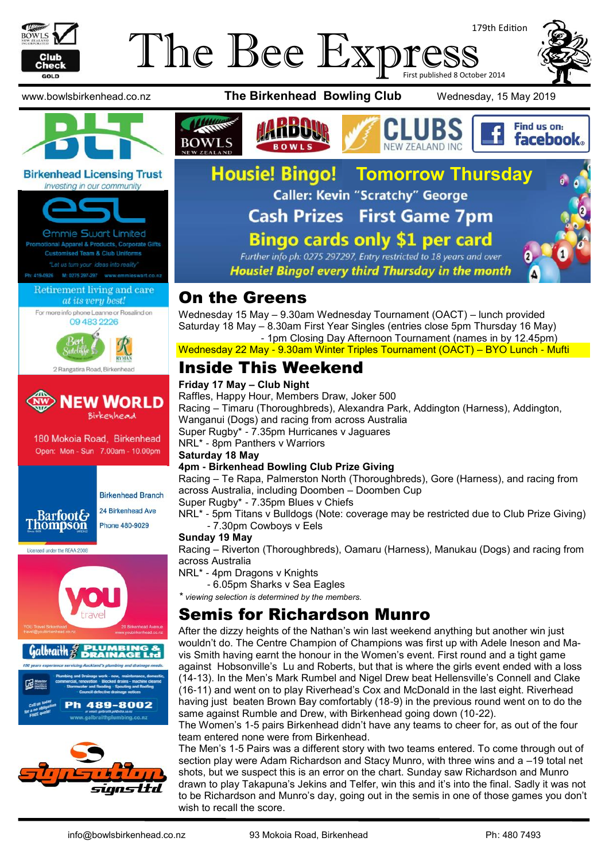

# 179th Edition The Bee Express





#### **Birkenhead Licensing Trust**



# at its very best!

For more info phone Leanne or Rosalind on 09 483 2226





180 Mokoia Road, Birkenhead Open: Mon - Sun 7.00am - 10.00pm



**Birkenhead Branch** 24 Birkenhead Ave

**Thompson** 















**facebook** 



Further info ph: 0275 297297, Entry restricted to 18 years and over Housie! Bingo! every third Thursday in the month

# On the Greens

Wednesday 15 May – 9.30am Wednesday Tournament (OACT) – lunch provided Saturday 18 May – 8.30am First Year Singles (entries close 5pm Thursday 16 May) - 1pm Closing Day Afternoon Tournament (names in by 12.45pm)

Wednesday 22 May - 9.30am Winter Triples Tournament (OACT) – BYO Lunch - Mufti

# Inside This Weekend

#### **Friday 17 May – Club Night**

Raffles, Happy Hour, Members Draw, Joker 500 Racing – Timaru (Thoroughbreds), Alexandra Park, Addington (Harness), Addington, Wanganui (Dogs) and racing from across Australia Super Rugby\* - 7.35pm Hurricanes v Jaguares NRL\* - 8pm Panthers v Warriors

#### **Saturday 18 May**

#### **4pm - Birkenhead Bowling Club Prize Giving**

Racing – Te Rapa, Palmerston North (Thoroughbreds), Gore (Harness), and racing from across Australia, including Doomben – Doomben Cup

Super Rugby\* - 7.35pm Blues v Chiefs

NRL\* - 5pm Titans v Bulldogs (Note: coverage may be restricted due to Club Prize Giving) - 7.30pm Cowboys v Eels

#### **Sunday 19 May**

Racing – Riverton (Thoroughbreds), Oamaru (Harness), Manukau (Dogs) and racing from across Australia

NRL\* - 4pm Dragons v Knights

- 6.05pm Sharks v Sea Eagles

*\* viewing selection is determined by the members.*

# Semis for Richardson Munro

After the dizzy heights of the Nathan's win last weekend anything but another win just wouldn't do. The Centre Champion of Champions was first up with Adele Ineson and Mavis Smith having earnt the honour in the Women's event. First round and a tight game against Hobsonville's Lu and Roberts, but that is where the girls event ended with a loss (14-13). In the Men's Mark Rumbel and Nigel Drew beat Hellensville's Connell and Clake (16-11) and went on to play Riverhead's Cox and McDonald in the last eight. Riverhead having just beaten Brown Bay comfortably (18-9) in the previous round went on to do the same against Rumble and Drew, with Birkenhead going down (10-22).

The Women's 1-5 pairs Birkenhead didn't have any teams to cheer for, as out of the four team entered none were from Birkenhead.

The Men's 1-5 Pairs was a different story with two teams entered. To come through out of section play were Adam Richardson and Stacy Munro, with three wins and a –19 total net shots, but we suspect this is an error on the chart. Sunday saw Richardson and Munro drawn to play Takapuna's Jekins and Telfer, win this and it's into the final. Sadly it was not to be Richardson and Munro's day, going out in the semis in one of those games you don't wish to recall the score.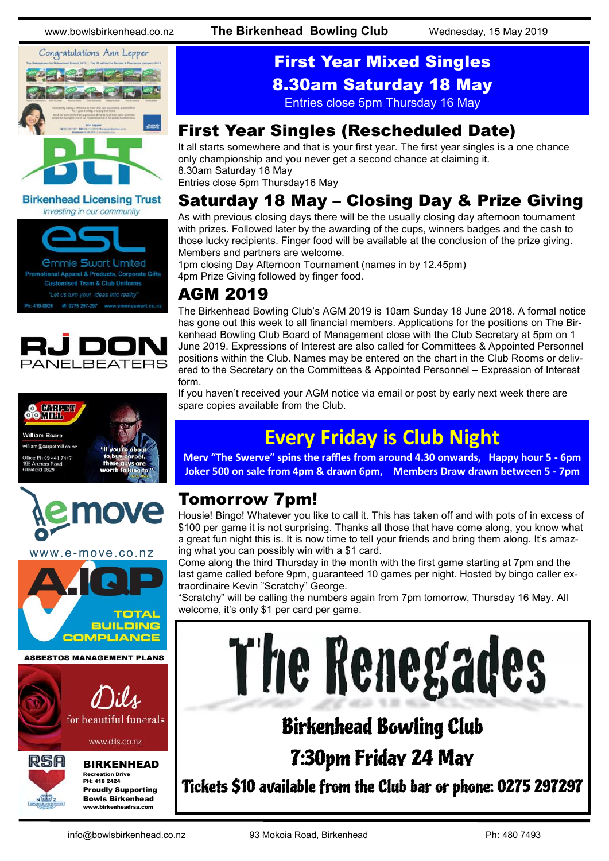www.bowlsbirkenhead.co.nz **The Birkenhead Bowling Club** Wednesday, 15 May 2019



### **Birkenhead Licensing Trust** Investing in our community







www.e-move.co.nz



Proudly Supporting Bowls Birkenhead www.birkenheadrsa.com

# First Year Mixed Singles 8.30am Saturday 18 May

Entries close 5pm Thursday 16 May

# First Year Singles (Rescheduled Date)

It all starts somewhere and that is your first year. The first year singles is a one chance only championship and you never get a second chance at claiming it. 8.30am Saturday 18 May

Entries close 5pm Thursday16 May

# Saturday 18 May – Closing Day & Prize Giving

As with previous closing days there will be the usually closing day afternoon tournament with prizes. Followed later by the awarding of the cups, winners badges and the cash to those lucky recipients. Finger food will be available at the conclusion of the prize giving. Members and partners are welcome.

1pm closing Day Afternoon Tournament (names in by 12.45pm) 4pm Prize Giving followed by finger food.

# AGM 2019

The Birkenhead Bowling Club's AGM 2019 is 10am Sunday 18 June 2018. A formal notice has gone out this week to all financial members. Applications for the positions on The Birkenhead Bowling Club Board of Management close with the Club Secretary at 5pm on 1 June 2019. Expressions of Interest are also called for Committees & Appointed Personnel positions within the Club. Names may be entered on the chart in the Club Rooms or delivered to the Secretary on the Committees & Appointed Personnel – Expression of Interest form.

If you haven't received your AGM notice via email or post by early next week there are spare copies available from the Club.

# **Every Friday is Club Night**

**Merv "The Swerve" spins the raffles from around 4.30 onwards, Happy hour 5 - 6pm Joker 500 on sale from 4pm & drawn 6pm, Members Draw drawn between 5 - 7pm**

# Tomorrow 7pm!

Housie! Bingo! Whatever you like to call it. This has taken off and with pots of in excess of \$100 per game it is not surprising. Thanks all those that have come along, you know what a great fun night this is. It is now time to tell your friends and bring them along. It's amazing what you can possibly win with a \$1 card.

Come along the third Thursday in the month with the first game starting at 7pm and the last game called before 9pm, guaranteed 10 games per night. Hosted by bingo caller extraordinaire Kevin "Scratchy" George.

"Scratchy" will be calling the numbers again from 7pm tomorrow, Thursday 16 May. All welcome, it's only \$1 per card per game.

# The Renegades

# Birkenhead Bowling Club 7:30pm Friday 24 May

Tickets \$10 available from the Club bar or phone: 0275 297297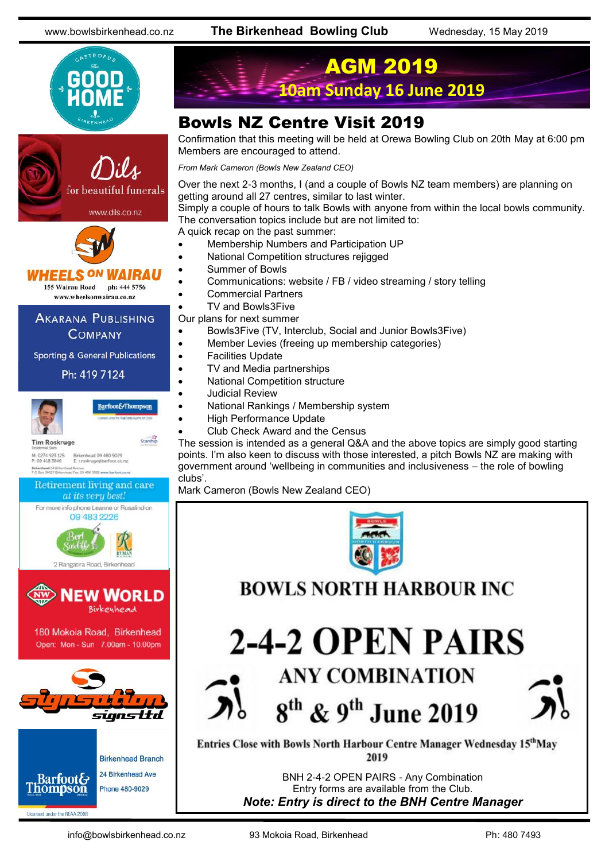www.bowlsbirkenhead.co.nz **The Birkenhead Bowling Club** Wednesday, 15 May 2019







www.wheelsonwairau.co.nz

#### **AKARANA PUBLISHING COMPANY**

**Sporting & General Publications** 

#### Ph: 419 7124



Barfoot&Thompson

Starship

**Tim Roskruge** M: 0274 923 125<br>P: 09 418 3846 Birkenhead 09 480 9029<br>E: t.roskruge@barfoot.co.nz



Licensed under the REAA 2008

AGM 2019 **10am Sunday 16 June 2019**

# Bowls NZ Centre Visit 2019

Confirmation that this meeting will be held at Orewa Bowling Club on 20th May at 6:00 pm Members are encouraged to attend.

*From Mark Cameron (Bowls New Zealand CEO)*

Over the next 2-3 months, I (and a couple of Bowls NZ team members) are planning on getting around all 27 centres, similar to last winter.

Simply a couple of hours to talk Bowls with anyone from within the local bowls community. The conversation topics include but are not limited to:

A quick recap on the past summer:

- Membership Numbers and Participation UP
- National Competition structures rejigged
- Summer of Bowls
- Communications: website / FB / video streaming / story telling
- Commercial Partners
- TV and Bowls3Five
- Our plans for next summer
- Bowls3Five (TV, Interclub, Social and Junior Bowls3Five)
- Member Levies (freeing up membership categories)
- Facilities Update
- TV and Media partnerships
	- National Competition structure
	- Judicial Review
	- National Rankings / Membership system
	- High Performance Update
	- Club Check Award and the Census

The session is intended as a general Q&A and the above topics are simply good starting points. I'm also keen to discuss with those interested, a pitch Bowls NZ are making with government around 'wellbeing in communities and inclusiveness – the role of bowling clubs'.

Mark Cameron (Bowls New Zealand CEO)



**BOWLS NORTH HARBOUR INC.** 

2-4-2 OPEN PAIRS **ANY COMBINATION** 

8<sup>th</sup> & 9<sup>th</sup> June 2019

Entries Close with Bowls North Harbour Centre Manager Wednesday 15<sup>th</sup>May 2019

> BNH 2-4-2 OPEN PAIRS - Any Combination Entry forms are available from the Club. *Note: Entry is direct to the BNH Centre Manager*